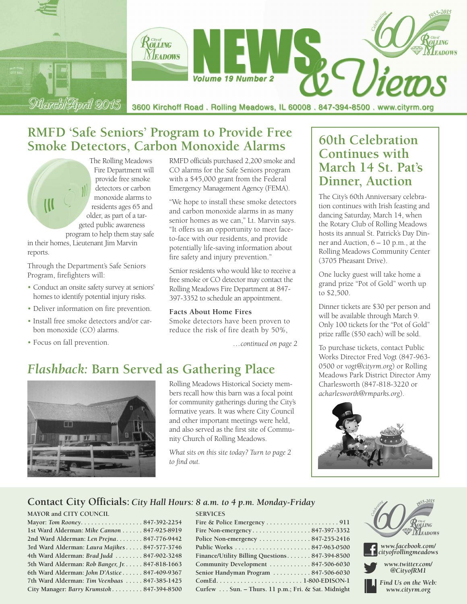

# **RMFD 'Safe Seniors' Program to Provide Free Smoke Detectors, Carbon Monoxide Alarms**

The Rolling Meadows Fire Department will provide free smoke detectors or carbon monoxide alarms to residents ages 65 and older, as part of a targeted public awareness program to help them stay safe

in their homes, Lieutenant Jim Marvin reports.

Through the Department's Safe Seniors Program, firefighters will:

- Conduct an onsite safety survey at seniors' homes to identify potential injury risks.
- Deliver information on fire prevention.
- Install free smoke detectors and/or carbon monoxide (CO) alarms.
- Focus on fall prevention.

RMFD officials purchased 2,200 smoke and CO alarms for the Safe Seniors program with a \$45,000 grant from the Federal Emergency Management Agency (FEMA).

"We hope to install these smoke detectors and carbon monoxide alarms in as many senior homes as we can," Lt. Marvin says. "It offers us an opportunity to meet faceto-face with our residents, and provide potentially life-saving information about fire safety and injury prevention."

Senior residents who would like to receive a free smoke or CO detector may contact the Rolling Meadows Fire Department at 847- 397-3352 to schedule an appointment.

#### **Facts About Home Fires**

Smoke detectors have been proven to reduce the risk of fire death by 50%,

*…continued on page 2*

# *Flashback:* **Barn Served as Gathering Place**



Rolling Meadows Historical Society members recall how this barn was a focal point for community gatherings during the City's formative years. It was where City Council and other important meetings were held, and also served as the first site of Community Church of Rolling Meadows.

*What sits on this site today? Turn to page 2 to find out.*

**SERVICES**

## **60th Celebration Continues with March 14 St. Pat's Dinner, Auction**

The City's 60th Anniversary celebration continues with Irish feasting and dancing Saturday, March 14, when the Rotary Club of Rolling Meadows hosts its annual St. Patrick's Day Dinner and Auction, 6 – 10 p.m., at the Rolling Meadows Community Center (3705 Pheasant Drive).

One lucky guest will take home a grand prize "Pot of Gold" worth up to \$2,500.

Dinner tickets are \$30 per person and will be available through March 9. Only 100 tickets for the "Pot of Gold" prize raffle (\$50 each) will be sold.

To purchase tickets, contact Public Works Director Fred Vogt (847-963- 0500 or *vogt@cityrm.org*) or Rolling Meadows Park District Director Amy Charlesworth (847-818-3220 or *acharlesworth@rmparks.org*).



### **Contact City Officials:** *City Hall Hours: 8 a.m. to 4 p.m. Monday-Friday*

#### **MAYOR and CITY COUNCIL**

| Mayor: Tom Rooney847-392-2254                   |  |
|-------------------------------------------------|--|
| 1st Ward Alderman: Mike Cannon 847-925-8919     |  |
| 2nd Ward Alderman: Len Prejna 847-776-9442      |  |
| 3rd Ward Alderman: Laura Majikes 847-577-3746   |  |
| 4th Ward Alderman: Brad Judd  847-902-3248      |  |
| 5th Ward Alderman: Rob Banger, Jr. 847-818-1663 |  |
| 6th Ward Alderman: John D'Astice 847-409-9367   |  |
| 7th Ward Alderman: Tim Veenbaas  847-385-1425   |  |
| City Manager: Barry Krumstok 847-394-8500       |  |
|                                                 |  |

| Fire Non-emergency847-397-3352                     |  |
|----------------------------------------------------|--|
| Police Non-emergency 847-255-2416                  |  |
|                                                    |  |
| Finance/Utility Billing Questions 847-394-8500     |  |
| Community Development  847-506-6030                |  |
| Senior Handyman Program 847-506-6030               |  |
|                                                    |  |
| Curfew Sun. - Thurs. 11 p.m.; Fri. & Sat. Midnight |  |
|                                                    |  |



*www.facebook.com/ cityofrollingmeadows*

*www.twitter.com/ @CityofRM1*

*Find Us on the Web: www.cityrm.org*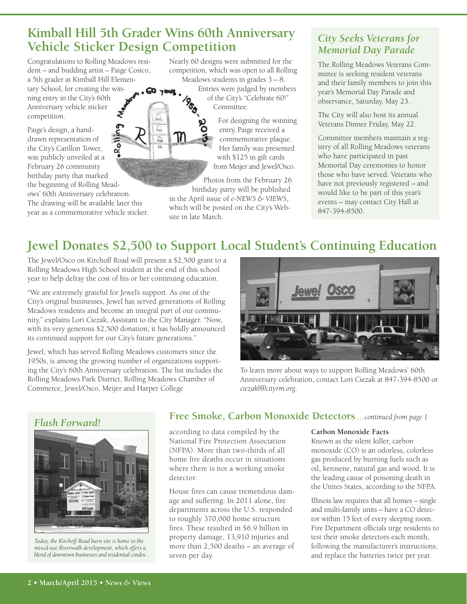## **Kimball Hill 5th Grader Wins 60th Anniversary Vehicle Sticker Design Competition**

Congratulations to Rolling Meadows resident – and budding artist – Paige Cosico, a 5th grader at Kimball Hill Elementary School, for creating the win-**60 years** ning entry in the City's 60th Anniversary vehicle sticker competition.

Paige's design, a handdrawn representation of the City's Carillon Tower, was publicly unveiled at a February 26 community birthday party that marked the beginning of Rolling Meadows' 60th Anniversary celebration. The drawing will be available later this

year as a commemorative vehicle sticker.

Nearly 60 designs were submitted for the competition, which was open to all Rolling Meadows students in grades 3 – 8.

Entries were judged by members of the City's "Celebrate 60!" Committee.

> For designing the winning entry, Paige received a commemorative plaque. Her family was presented with \$125 in gift cards from Meijer and Jewel/Osco.

Photos from the February 26 birthday party will be published

in the April issue of *e-NEWS & VIEWS*, which will be posted on the City's Website in late March.

### *City Seeks Veterans for Memorial Day Parade*

The Rolling Meadows Veterans Committee is seeking resident veterans and their family members to join this year's Memorial Day Parade and observance, Saturday, May 23.

The City will also host its annual Veterans Dinner Friday, May 22.

Committee members maintain a registry of all Rolling Meadows veterans who have participated in past Memorial Day ceremonies to honor those who have served. Veterans who have not previously registered – and would like to be part of this year's events – may contact City Hall at 847-394-8500.

# **Jewel Donates \$2,500 to Support Local Student's Continuing Education**

The Jewel/Osco on Kirchoff Road will present a \$2,500 grant to a Rolling Meadows High School student at the end of this school year to help defray the cost of his or her continuing education.

"We are extremely grateful for Jewel's support. As one of the City's original businesses, Jewel has served generations of Rolling Meadows residents and become an integral part of our community," explains Lori Ciezak, Assistant to the City Manager. "Now, with its very generous \$2,500 donation, it has boldly announced its continued support for our City's future generations."

Jewel, which has served Rolling Meadows customers since the 1950s, is among the growing number of organizations supporting the City's 60th Anniversary celebration. The list includes the Rolling Meadows Park District, Rolling Meadows Chamber of Commerce, Jewel/Osco, Meijer and Harper College.



To learn more about ways to support Rolling Meadows' 60th Anniversary celebration, contact Lori Ciezak at 847-394-8500 or *ciezakl@cityrm.org*.

## *Flash Forward!*



*Today, the Kirchoff Road barn site is home to the mixed-use Riverwalk development, which offers a blend of downtown businesses and residential condos.*

### **Free Smoke, Carbon Monoxide Detectors** *…continued from page 1*

according to data compiled by the National Fire Protection Association (NFPA). More than two-thirds of all home fire deaths occur in situations where there is not a working smoke detector.

House fires can cause tremendous damage and suffering: In 2011 alone, fire departments across the U.S. responded to roughly 370,000 home structure fires. These resulted in \$6.9 billion in property damage, 13,910 injuries and more than 2,500 deaths – an average of seven per day.

#### **Carbon Monoxide Facts**

Known as the silent killer, carbon monoxide (CO) is an odorless, colorless gas produced by burning fuels such as oil, kerosene, natural gas and wood. It is the leading cause of poisoning death in the Unites States, according to the NFPA.

Illinois law requires that all homes – single and multi-family units – have a CO detector within 15 feet of every sleeping room. Fire Department officials urge residents to test their smoke detectors each month, following the manufacturer's instructions, and replace the batteries twice per year.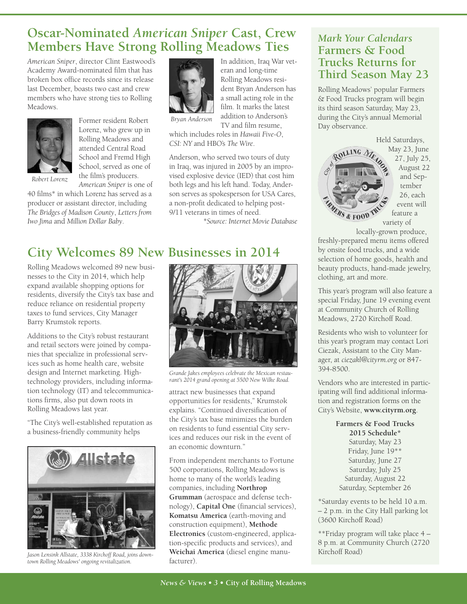# **Oscar-Nominated** *American Sniper* **Cast, Crew Members Have Strong Rolling Meadows Ties**

*American Sniper*, director Clint Eastwood's Academy Award-nominated film that has broken box office records since its release last December, boasts two cast and crew members who have strong ties to Rolling Meadows.



Former resident Robert Lorenz, who grew up in Rolling Meadows and attended Central Road School and Fremd High School, served as one of the film's producers. *American Sniper* is one of

*Robert Lorenz*

40 films\* in which Lorenz has served as a producer or assistant director, including *The Bridges of Madison County*, *Letters from Iwo Jima* and *Million Dollar Baby*.



In addition, Iraq War veteran and long-time Rolling Meadows resident Bryan Anderson has a small acting role in the film. It marks the latest addition to Anderson's TV and film resume,

*Bryan Anderson*

which includes roles in *Hawaii Five-O*, *CSI: NY* and HBO's *The Wire*.

Anderson, who served two tours of duty in Iraq, was injured in 2005 by an improvised explosive device (IED) that cost him both legs and his left hand. Today, Anderson serves as spokesperson for USA Cares, a non-profit dedicated to helping post-9/11 veterans in times of need.

*\*Source: Internet Movie Database*

# **City Welcomes 89 New Businesses in 2014**

Rolling Meadows welcomed 89 new businesses to the City in 2014, which help expand available shopping options for residents, diversify the City's tax base and reduce reliance on residential property taxes to fund services, City Manager Barry Krumstok reports.

Additions to the City's robust restaurant and retail sectors were joined by companies that specialize in professional services such as home health care, website design and Internet marketing. Hightechnology providers, including information technology (IT) and telecommunications firms, also put down roots in Rolling Meadows last year.

"The City's well-established reputation as a business-friendly community helps



facturer). *Jason Lensink Allstate, <sup>3338</sup> Kirchoff Road, joins down-town Rolling Meadows' ongoing revitalization.*



*Grande Jakes employees celebrate the Mexican restaurant's 2014 grand opening at 5500 New Wilke Road.*

attract new businesses that expand opportunities for residents," Krumstok explains. "Continued diversification of the City's tax base minimizes the burden on residents to fund essential City services and reduces our risk in the event of an economic downturn."

From independent merchants to Fortune 500 corporations, Rolling Meadows is home to many of the world's leading companies, including **Northrop Grumman** (aerospace and defense technology), **Capital One** (financial services), **Komatsu America** (earth-moving and construction equipment), **Methode Electronics** (custom-engineered, application-specific products and services), and **Weichai America** (diesel engine manu-

### *Mark Your Calendars* **Farmers & Food Trucks Returns for Third Season May 23**

Rolling Meadows' popular Farmers & Food Trucks program will begin its third season Saturday, May 23, during the City's annual Memorial Day observance.

Held Saturdays, ROLLING 1 *IERS & FOOD* 

May 23, June 27, July 25, August 22 and September 26, each event will feature a variety of

locally-grown produce, freshly-prepared menu items offered

by onsite food trucks, and a wide selection of home goods, health and beauty products, hand-made jewelry, clothing, art and more.

This year's program will also feature a special Friday, June 19 evening event at Community Church of Rolling Meadows, 2720 Kirchoff Road.

Residents who wish to volunteer for this year's program may contact Lori Ciezak, Assistant to the City Manager, at *ciezakl@cityrm.org* or 847- 394-8500.

Vendors who are interested in participating will find additional information and registration forms on the City's Website, **www.cityrm.org**.

> **Farmers & Food Trucks 2015 Schedule\*** Saturday, May 23 Friday, June 19\*\* Saturday, June 27 Saturday, July 25 Saturday, August 22 Saturday, September 26

\*Saturday events to be held 10 a.m. – 2 p.m. in the City Hall parking lot (3600 Kirchoff Road)

\*\*Friday program will take place 4 – 8 p.m. at Community Church (2720 Kirchoff Road)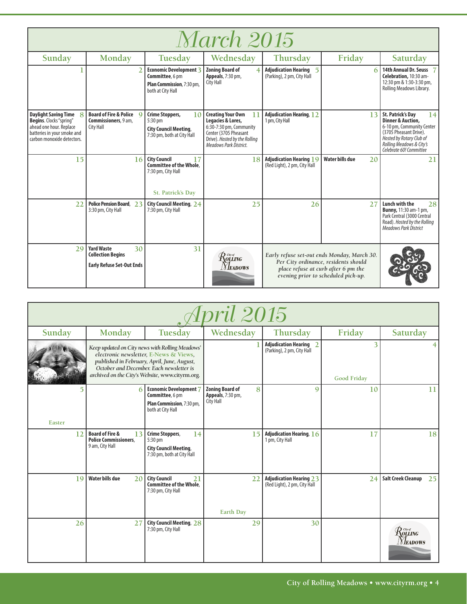| <i>March 2015</i>                                                                                                                              |                                                                                         |                                                                                                        |                                                                                                                                                                    |                                                                |                                                                                                                                                                   |                                                                                                                                                                                                          |
|------------------------------------------------------------------------------------------------------------------------------------------------|-----------------------------------------------------------------------------------------|--------------------------------------------------------------------------------------------------------|--------------------------------------------------------------------------------------------------------------------------------------------------------------------|----------------------------------------------------------------|-------------------------------------------------------------------------------------------------------------------------------------------------------------------|----------------------------------------------------------------------------------------------------------------------------------------------------------------------------------------------------------|
| Sunday                                                                                                                                         | Monday                                                                                  | Tuesday                                                                                                | Wednesday                                                                                                                                                          | Thursday                                                       | Friday                                                                                                                                                            | Saturday                                                                                                                                                                                                 |
|                                                                                                                                                |                                                                                         | Economic Development 3<br>Committee, 6 pm<br>Plan Commission, 7:30 pm,<br>both at City Hall            | <b>Zoning Board of</b><br>Appeals, 7:30 pm,<br><b>City Hall</b>                                                                                                    | <b>Adjudication Hearing 5</b><br>(Parking), 2 pm, City Hall    |                                                                                                                                                                   | 14th Annual Dr. Seuss<br>Celebration, 10:30 am-<br>12:30 pm & 1:30-3:30 pm,<br>Rolling Meadows Library.                                                                                                  |
| <b>Daylight Saving Time</b><br>Begins. Clocks "spring"<br>ahead one hour. Replace<br>batteries in your smoke and<br>carbon monoxide detectors. | Board of Fire & Police Q<br>Commissioners, 9 am,<br><b>City Hall</b>                    | <b>Crime Stoppers,</b><br>10<br>5:30 pm<br><b>City Council Meeting,</b><br>7:30 pm, both at City Hall  | <b>Creating Your Own</b><br>11<br>Legacies & Lores,<br>6:30-7:30 pm, Community<br>Center (3705 Pheasant<br>Drive). Hosted by the Rolling<br>Meadows Park District. | <b>Adjudication Hearing, 12</b><br>1 pm, City Hall             | 13                                                                                                                                                                | 14<br><b>St. Patrick's Day</b><br><b>Dinner &amp; Auction,</b><br>6-10 pm, Community Center<br>(3705 Pheasant Drive).<br>Hosted by Rotary Club of<br>Rolling Meadows & City's<br>Celebrate 60! Committee |
| 15                                                                                                                                             | 16                                                                                      | <b>City Council</b><br>17<br><b>Committee of the Whole.</b><br>7:30 pm, City Hall<br>St. Patrick's Day | 18                                                                                                                                                                 | <b>Adjudication Hearing 19</b><br>(Red Light), 2 pm, City Hall | <b>Water bills due</b><br>20                                                                                                                                      | 21                                                                                                                                                                                                       |
| 22                                                                                                                                             | Police Pension Board, 23<br>3:30 pm, City Hall                                          | City Council Meeting, 24<br>7:30 pm, City Hall                                                         | 25                                                                                                                                                                 | 26                                                             | 27                                                                                                                                                                | Lunch with the<br>28<br><b>Bunny, 11:30 am-1 pm,</b><br>Park Central (3000 Central<br>Road). Hosted by the Rolling<br><b>Meadows Park District</b>                                                       |
| 29                                                                                                                                             | <b>Yard Waste</b><br>30<br><b>Collection Begins</b><br><b>Early Refuse Set-Out Ends</b> | 31                                                                                                     | $\mathcal{R}^{\tiny{{\scriptscriptstyle{{G\!u}^\sigma}}\!{\scriptscriptstyle{{G\!u}}}$ ing<br><b>NEADOWS</b>                                                       |                                                                | Early refuse set-out ends Monday, March 30.<br>Per City ordinance, residents should<br>place refuse at curb after 6 pm the<br>evening prior to scheduled pick-up. |                                                                                                                                                                                                          |

| <i><b>Ipril 2015</b></i> |                                                                                                                                                                                                                                         |                                                                                                |                                                               |                                                                |                         |                                       |  |  |
|--------------------------|-----------------------------------------------------------------------------------------------------------------------------------------------------------------------------------------------------------------------------------------|------------------------------------------------------------------------------------------------|---------------------------------------------------------------|----------------------------------------------------------------|-------------------------|---------------------------------------|--|--|
| Sunday                   | Monday                                                                                                                                                                                                                                  | Tuesday                                                                                        | Wednesday                                                     | Thursday                                                       | Friday                  | Saturday                              |  |  |
|                          | Keep updated on City news with Rolling Meadows'<br>electronic newsletter, E-News & Views,<br>published in February, April, June, August,<br>October and December. Each newsletter is<br>archived on the City's Website, www.cityrm.org. |                                                                                                |                                                               | <b>Adjudication Hearing 2</b><br>(Parking), 2 pm, City Hall    | 3<br><b>Good Friday</b> |                                       |  |  |
| Easter                   | 6                                                                                                                                                                                                                                       | Economic Development 7<br>Committee, 6 pm<br>Plan Commission, 7:30 pm,<br>both at City Hall    | 8<br><b>Zoning Board of</b><br>Appeals, 7:30 pm,<br>City Hall | 9                                                              | 10                      | 11                                    |  |  |
| 12                       | <b>Board of Fire &amp;</b><br>13<br><b>Police Commissioners.</b><br>9 am, City Hall                                                                                                                                                     | Crime Stoppers,<br>14<br>5:30 pm<br><b>City Council Meeting,</b><br>7:30 pm, both at City Hall | 15                                                            | Adjudication Hearing, 16<br>1 pm, City Hall                    | 17                      | 18                                    |  |  |
| 19                       | Water bills due<br>20                                                                                                                                                                                                                   | <b>City Council</b><br>21<br><b>Committee of the Whole.</b><br>7:30 pm, City Hall              | 22<br><b>Earth Day</b>                                        | <b>Adjudication Hearing 23</b><br>(Red Light), 2 pm, City Hall | 24                      | <b>Salt Creek Cleanup</b><br>25       |  |  |
| 26                       | 27                                                                                                                                                                                                                                      | City Council Meeting, 28<br>7:30 pm, City Hall                                                 | 29                                                            | 30                                                             |                         | $\mathcal{R}$ oling<br><b>NEADOWS</b> |  |  |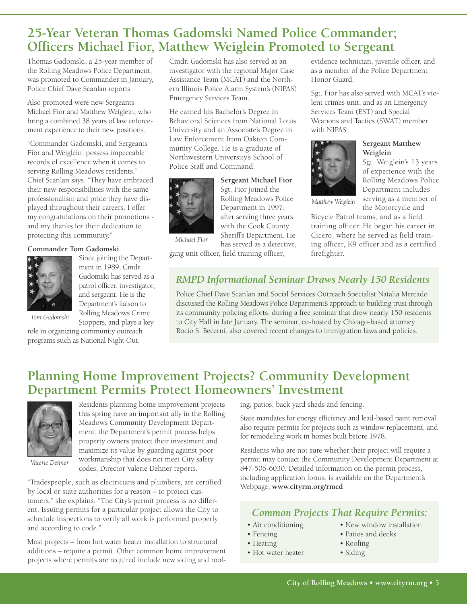# **25-Year Veteran Thomas Gadomski Named Police Commander; Officers Michael Fior, Matthew Weiglein Promoted to Sergeant**

Thomas Gadomski, a 25-year member of the Rolling Meadows Police Department, was promoted to Commander in January, Police Chief Dave Scanlan reports.

Also promoted were new Sergeants Michael Fior and Matthew Weiglein, who bring a combined 38 years of law enforcement experience to their new positions.

"Commander Gadomski, and Sergeants Fior and Weiglein, possess impeccable records of excellence when it comes to serving Rolling Meadows residents," Chief Scanlan says. "They have embraced their new responsibilities with the same professionalism and pride they have displayed throughout their careers. I offer my congratulations on their promotions and my thanks for their dedication to protecting this community."

#### **Commander Tom Gadomski**



Since joining the Department in 1989, Cmdr. Gadomski has served as a patrol officer, investigator, and sergeant. He is the Department's liaison to Rolling Meadows Crime Stoppers, and plays a key

*Tom Gadomski*

role in organizing community outreach programs such as National Night Out.

Cmdr. Gadomski has also served as an investigator with the regional Major Case Assistance Team (MCAT) and the Northern Illinois Police Alarm System's (NIPAS) Emergency Services Team.

He earned his Bachelor's Degree in Behavioral Sciences from National Louis University and an Associate's Degree in Law Enforcement from Oakton Community College. He is a graduate of Northwestern University's School of Police Staff and Command.



*Michael Fior*

**Sergeant Michael Fior** Sgt. Fior joined the Rolling Meadows Police Department in 1997, after serving three years with the Cook County Sheriff's Department. He has served as a detective,

gang unit officer, field training officer,

evidence technician, juvenile officer, and as a member of the Police Department Honor Guard.

Sgt. Fior has also served with MCAT's violent crimes unit, and as an Emergency Services Team (EST) and Special Weapons and Tactics (SWAT) member with NIPAS.



#### **Sergeant Matthew Weiglein**

Sgt. Weiglein's 13 years of experience with the Rolling Meadows Police Department includes serving as a member of the Motorcycle and

*Matthew Weiglein*

Bicycle Patrol teams, and as a field training officer. He began his career in Cicero, where he served as field training officer, K9 officer and as a certified firefighter.

### *RMPD Informational Seminar Draws Nearly 150 Residents*

Police Chief Dave Scanlan and Social Services Outreach Specialist Natalia Mercado discussed the Rolling Meadows Police Department's approach to building trust through its community policing efforts, during a free seminar that drew nearly 150 residents to City Hall in late January. The seminar, co-hosted by Chicago-based attorney Rocio S. Becerni, also covered recent changes to immigration laws and policies.

## **Planning Home Improvement Projects? Community Development Department Permits Protect Homeowners' Investment**



*Valerie Dehner*

Residents planning home improvement projects this spring have an important ally in the Rolling Meadows Community Development Department: the Department's permit process helps property owners protect their investment and maximize its value by guarding against poor workmanship that does not meet City safety codes, Director Valerie Dehner reports.

"Tradespeople, such as electricians and plumbers, are certified by local or state authorities for a reason – to protect customers," she explains. "The City's permit process is no different. Issuing permits for a particular project allows the City to schedule inspections to verify all work is performed properly and according to code."

Most projects – from hot water heater installation to structural additions – require a permit. Other common home improvement projects where permits are required include new siding and roofing, patios, back yard sheds and fencing.

State mandates for energy efficiency and lead-based paint removal also require permits for projects such as window replacement, and for remodeling work in homes built before 1978.

Residents who are not sure whether their project will require a permit may contact the Community Development Department at 847-506-6030. Detailed information on the permit process, including application forms, is available on the Department's Webpage, **www.cityrm.org/rmcd**.

## *Common Projects That Require Permits:*

- Air conditioning New window installation
	-
	-
- Hot water heater Siding
- Fencing Patios and decks
- Heating Roofing
	-